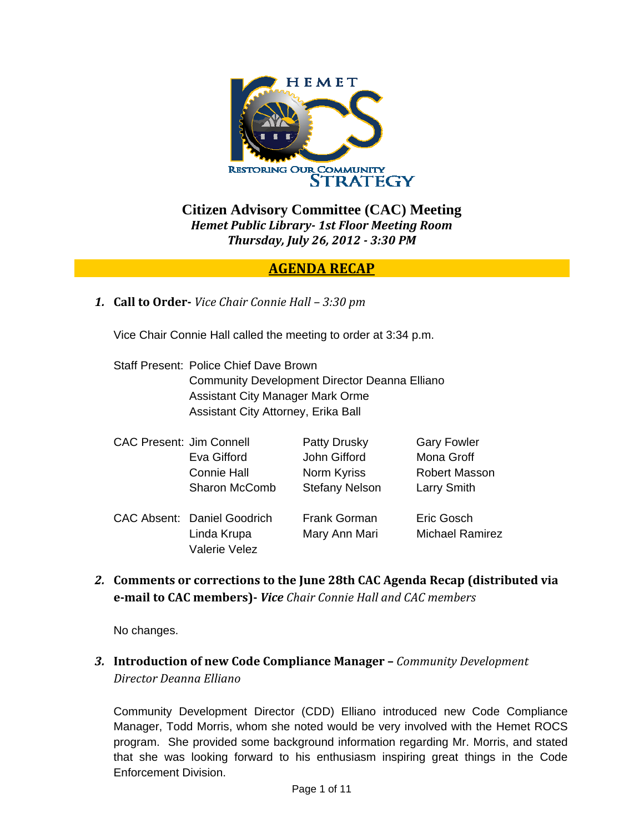

**Citizen Advisory Committee (CAC) Meeting**  *Hemet Public Library 1st Floor Meeting Room Thursday, July 26, 2012 3:30 PM*

## **AGENDA RECAP**

*1.* **Call to Order** *Vice Chair Connie Hall – 3:30 pm*

Vice Chair Connie Hall called the meeting to order at 3:34 p.m.

Staff Present: Police Chief Dave Brown Community Development Director Deanna Elliano Assistant City Manager Mark Orme Assistant City Attorney, Erika Ball

| <b>CAC Present: Jim Connell</b> |                                    | Patty Drusky          | <b>Gary Fowler</b>     |
|---------------------------------|------------------------------------|-----------------------|------------------------|
|                                 | Eva Gifford                        | John Gifford          | Mona Groff             |
|                                 | <b>Connie Hall</b>                 | Norm Kyriss           | <b>Robert Masson</b>   |
|                                 | <b>Sharon McComb</b>               | <b>Stefany Nelson</b> | Larry Smith            |
|                                 | <b>CAC Absent: Daniel Goodrich</b> | <b>Frank Gorman</b>   | Eric Gosch             |
|                                 | Linda Krupa                        | Mary Ann Mari         | <b>Michael Ramirez</b> |
|                                 | <b>Valerie Velez</b>               |                       |                        |

*2.* **Comments or corrections to the June 28th CAC Agenda Recap (distributed via email to CAC members)** *Vice Chair Connie Hall and CAC members*

No changes.

*3.* **Introduction of new Code Compliance Manager –** *Community Development Director Deanna Elliano*

Community Development Director (CDD) Elliano introduced new Code Compliance Manager, Todd Morris, whom she noted would be very involved with the Hemet ROCS program. She provided some background information regarding Mr. Morris, and stated that she was looking forward to his enthusiasm inspiring great things in the Code Enforcement Division.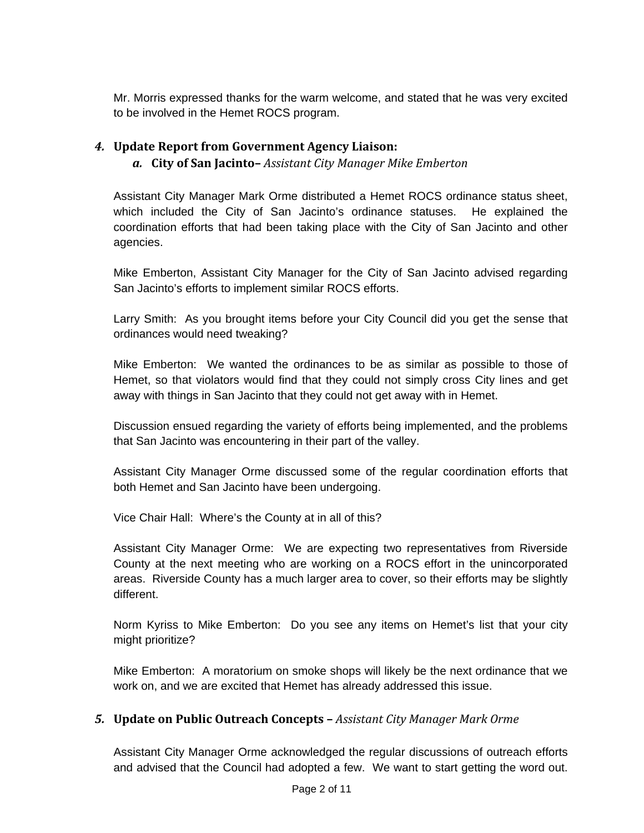Mr. Morris expressed thanks for the warm welcome, and stated that he was very excited to be involved in the Hemet ROCS program.

### *4.* **Update Report from Government Agency Liaison:**

#### *a.* **City of San Jacinto–** *Assistant City Manager Mike Emberton*

Assistant City Manager Mark Orme distributed a Hemet ROCS ordinance status sheet, which included the City of San Jacinto's ordinance statuses. He explained the coordination efforts that had been taking place with the City of San Jacinto and other agencies.

Mike Emberton, Assistant City Manager for the City of San Jacinto advised regarding San Jacinto's efforts to implement similar ROCS efforts.

Larry Smith: As you brought items before your City Council did you get the sense that ordinances would need tweaking?

Mike Emberton: We wanted the ordinances to be as similar as possible to those of Hemet, so that violators would find that they could not simply cross City lines and get away with things in San Jacinto that they could not get away with in Hemet.

Discussion ensued regarding the variety of efforts being implemented, and the problems that San Jacinto was encountering in their part of the valley.

Assistant City Manager Orme discussed some of the regular coordination efforts that both Hemet and San Jacinto have been undergoing.

Vice Chair Hall: Where's the County at in all of this?

Assistant City Manager Orme: We are expecting two representatives from Riverside County at the next meeting who are working on a ROCS effort in the unincorporated areas. Riverside County has a much larger area to cover, so their efforts may be slightly different.

Norm Kyriss to Mike Emberton: Do you see any items on Hemet's list that your city might prioritize?

Mike Emberton: A moratorium on smoke shops will likely be the next ordinance that we work on, and we are excited that Hemet has already addressed this issue.

#### *5.* **Update on Public Outreach Concepts –** *Assistant City Manager Mark Orme*

Assistant City Manager Orme acknowledged the regular discussions of outreach efforts and advised that the Council had adopted a few. We want to start getting the word out.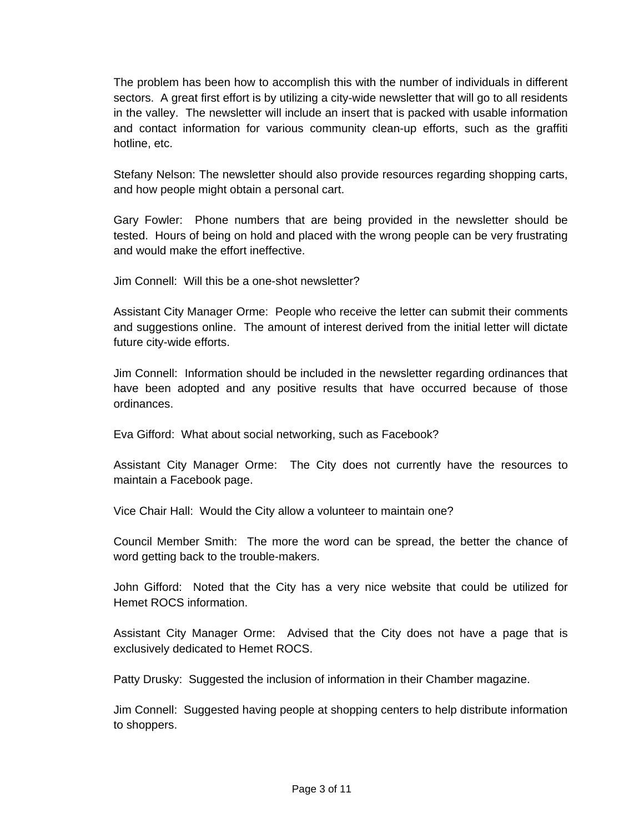The problem has been how to accomplish this with the number of individuals in different sectors. A great first effort is by utilizing a city-wide newsletter that will go to all residents in the valley. The newsletter will include an insert that is packed with usable information and contact information for various community clean-up efforts, such as the graffiti hotline, etc.

Stefany Nelson: The newsletter should also provide resources regarding shopping carts, and how people might obtain a personal cart.

Gary Fowler: Phone numbers that are being provided in the newsletter should be tested. Hours of being on hold and placed with the wrong people can be very frustrating and would make the effort ineffective.

Jim Connell: Will this be a one-shot newsletter?

Assistant City Manager Orme: People who receive the letter can submit their comments and suggestions online. The amount of interest derived from the initial letter will dictate future city-wide efforts.

Jim Connell: Information should be included in the newsletter regarding ordinances that have been adopted and any positive results that have occurred because of those ordinances.

Eva Gifford: What about social networking, such as Facebook?

Assistant City Manager Orme: The City does not currently have the resources to maintain a Facebook page.

Vice Chair Hall: Would the City allow a volunteer to maintain one?

Council Member Smith: The more the word can be spread, the better the chance of word getting back to the trouble-makers.

John Gifford: Noted that the City has a very nice website that could be utilized for Hemet ROCS information.

Assistant City Manager Orme: Advised that the City does not have a page that is exclusively dedicated to Hemet ROCS.

Patty Drusky: Suggested the inclusion of information in their Chamber magazine.

Jim Connell: Suggested having people at shopping centers to help distribute information to shoppers.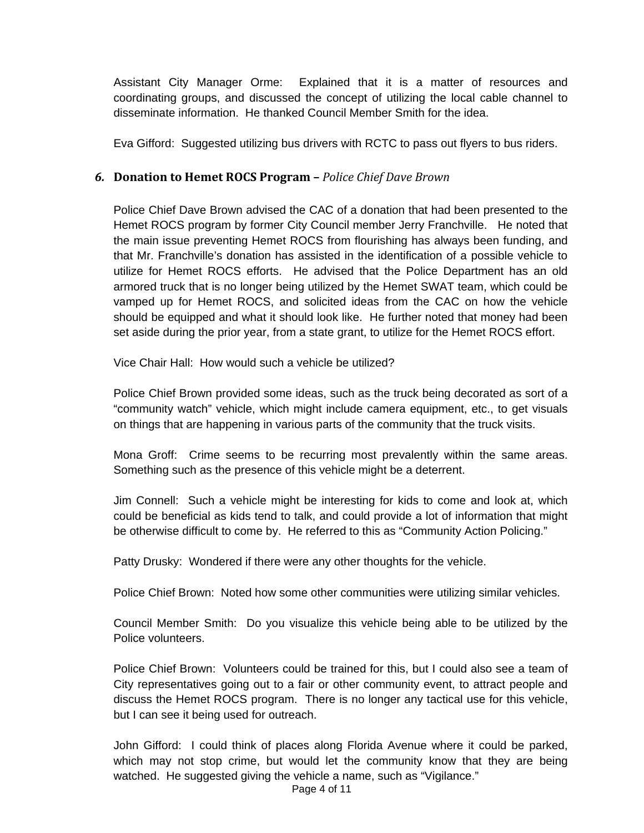Assistant City Manager Orme: Explained that it is a matter of resources and coordinating groups, and discussed the concept of utilizing the local cable channel to disseminate information. He thanked Council Member Smith for the idea.

Eva Gifford: Suggested utilizing bus drivers with RCTC to pass out flyers to bus riders.

#### *6.* **Donation to Hemet ROCS Program –** *Police Chief Dave Brown*

Police Chief Dave Brown advised the CAC of a donation that had been presented to the Hemet ROCS program by former City Council member Jerry Franchville. He noted that the main issue preventing Hemet ROCS from flourishing has always been funding, and that Mr. Franchville's donation has assisted in the identification of a possible vehicle to utilize for Hemet ROCS efforts. He advised that the Police Department has an old armored truck that is no longer being utilized by the Hemet SWAT team, which could be vamped up for Hemet ROCS, and solicited ideas from the CAC on how the vehicle should be equipped and what it should look like. He further noted that money had been set aside during the prior year, from a state grant, to utilize for the Hemet ROCS effort.

Vice Chair Hall: How would such a vehicle be utilized?

Police Chief Brown provided some ideas, such as the truck being decorated as sort of a "community watch" vehicle, which might include camera equipment, etc., to get visuals on things that are happening in various parts of the community that the truck visits.

Mona Groff: Crime seems to be recurring most prevalently within the same areas. Something such as the presence of this vehicle might be a deterrent.

Jim Connell: Such a vehicle might be interesting for kids to come and look at, which could be beneficial as kids tend to talk, and could provide a lot of information that might be otherwise difficult to come by. He referred to this as "Community Action Policing."

Patty Drusky: Wondered if there were any other thoughts for the vehicle.

Police Chief Brown: Noted how some other communities were utilizing similar vehicles.

Council Member Smith: Do you visualize this vehicle being able to be utilized by the Police volunteers.

Police Chief Brown: Volunteers could be trained for this, but I could also see a team of City representatives going out to a fair or other community event, to attract people and discuss the Hemet ROCS program. There is no longer any tactical use for this vehicle, but I can see it being used for outreach.

John Gifford: I could think of places along Florida Avenue where it could be parked, which may not stop crime, but would let the community know that they are being watched. He suggested giving the vehicle a name, such as "Vigilance."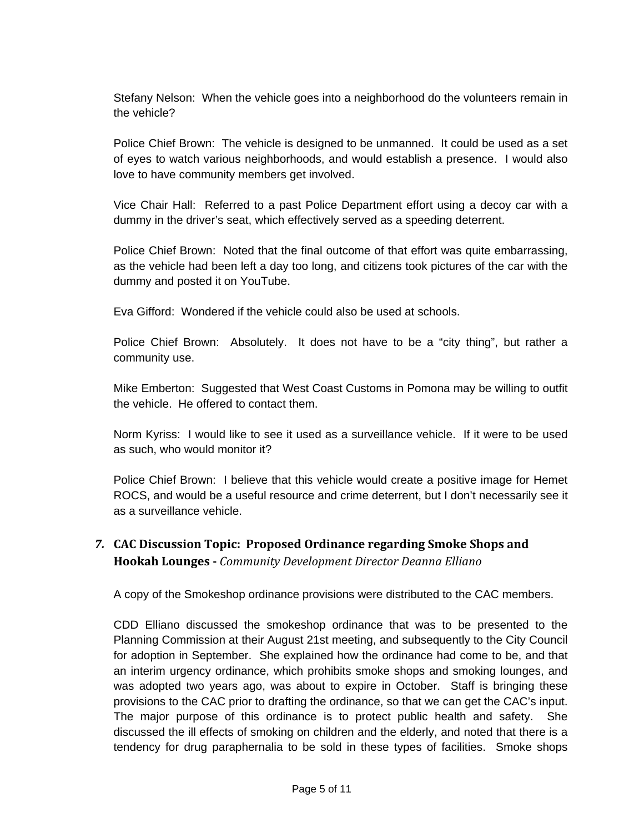Stefany Nelson: When the vehicle goes into a neighborhood do the volunteers remain in the vehicle?

Police Chief Brown: The vehicle is designed to be unmanned. It could be used as a set of eyes to watch various neighborhoods, and would establish a presence. I would also love to have community members get involved.

Vice Chair Hall: Referred to a past Police Department effort using a decoy car with a dummy in the driver's seat, which effectively served as a speeding deterrent.

Police Chief Brown: Noted that the final outcome of that effort was quite embarrassing, as the vehicle had been left a day too long, and citizens took pictures of the car with the dummy and posted it on YouTube.

Eva Gifford: Wondered if the vehicle could also be used at schools.

Police Chief Brown: Absolutely. It does not have to be a "city thing", but rather a community use.

Mike Emberton: Suggested that West Coast Customs in Pomona may be willing to outfit the vehicle. He offered to contact them.

Norm Kyriss: I would like to see it used as a surveillance vehicle. If it were to be used as such, who would monitor it?

Police Chief Brown: I believe that this vehicle would create a positive image for Hemet ROCS, and would be a useful resource and crime deterrent, but I don't necessarily see it as a surveillance vehicle.

# *7.* **CAC Discussion Topic: Proposed Ordinance regarding Smoke Shops and Hookah Lounges** *Community Development Director Deanna Elliano*

A copy of the Smokeshop ordinance provisions were distributed to the CAC members.

CDD Elliano discussed the smokeshop ordinance that was to be presented to the Planning Commission at their August 21st meeting, and subsequently to the City Council for adoption in September. She explained how the ordinance had come to be, and that an interim urgency ordinance, which prohibits smoke shops and smoking lounges, and was adopted two years ago, was about to expire in October. Staff is bringing these provisions to the CAC prior to drafting the ordinance, so that we can get the CAC's input. The major purpose of this ordinance is to protect public health and safety. She discussed the ill effects of smoking on children and the elderly, and noted that there is a tendency for drug paraphernalia to be sold in these types of facilities. Smoke shops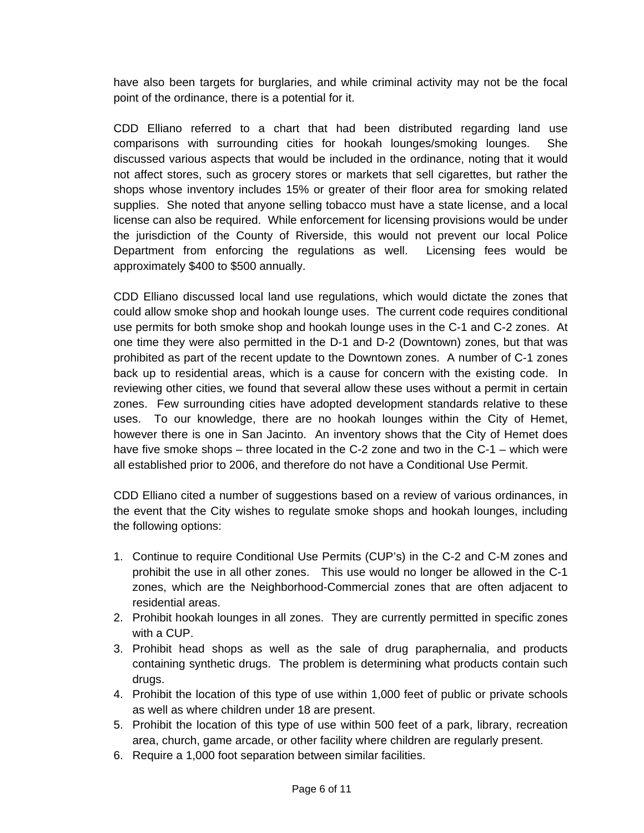have also been targets for burglaries, and while criminal activity may not be the focal point of the ordinance, there is a potential for it.

CDD Elliano referred to a chart that had been distributed regarding land use comparisons with surrounding cities for hookah lounges/smoking lounges. She discussed various aspects that would be included in the ordinance, noting that it would not affect stores, such as grocery stores or markets that sell cigarettes, but rather the shops whose inventory includes 15% or greater of their floor area for smoking related supplies. She noted that anyone selling tobacco must have a state license, and a local license can also be required. While enforcement for licensing provisions would be under the jurisdiction of the County of Riverside, this would not prevent our local Police Department from enforcing the regulations as well. Licensing fees would be approximately \$400 to \$500 annually.

CDD Elliano discussed local land use regulations, which would dictate the zones that could allow smoke shop and hookah lounge uses. The current code requires conditional use permits for both smoke shop and hookah lounge uses in the C-1 and C-2 zones. At one time they were also permitted in the D-1 and D-2 (Downtown) zones, but that was prohibited as part of the recent update to the Downtown zones. A number of C-1 zones back up to residential areas, which is a cause for concern with the existing code. In reviewing other cities, we found that several allow these uses without a permit in certain zones. Few surrounding cities have adopted development standards relative to these uses. To our knowledge, there are no hookah lounges within the City of Hemet, however there is one in San Jacinto. An inventory shows that the City of Hemet does have five smoke shops – three located in the C-2 zone and two in the C-1 – which were all established prior to 2006, and therefore do not have a Conditional Use Permit.

CDD Elliano cited a number of suggestions based on a review of various ordinances, in the event that the City wishes to regulate smoke shops and hookah lounges, including the following options:

- 1. Continue to require Conditional Use Permits (CUP's) in the C-2 and C-M zones and prohibit the use in all other zones. This use would no longer be allowed in the C-1 zones, which are the Neighborhood-Commercial zones that are often adjacent to residential areas.
- 2. Prohibit hookah lounges in all zones. They are currently permitted in specific zones with a CUP.
- 3. Prohibit head shops as well as the sale of drug paraphernalia, and products containing synthetic drugs. The problem is determining what products contain such drugs.
- 4. Prohibit the location of this type of use within 1,000 feet of public or private schools as well as where children under 18 are present.
- 5. Prohibit the location of this type of use within 500 feet of a park, library, recreation area, church, game arcade, or other facility where children are regularly present.
- 6. Require a 1,000 foot separation between similar facilities.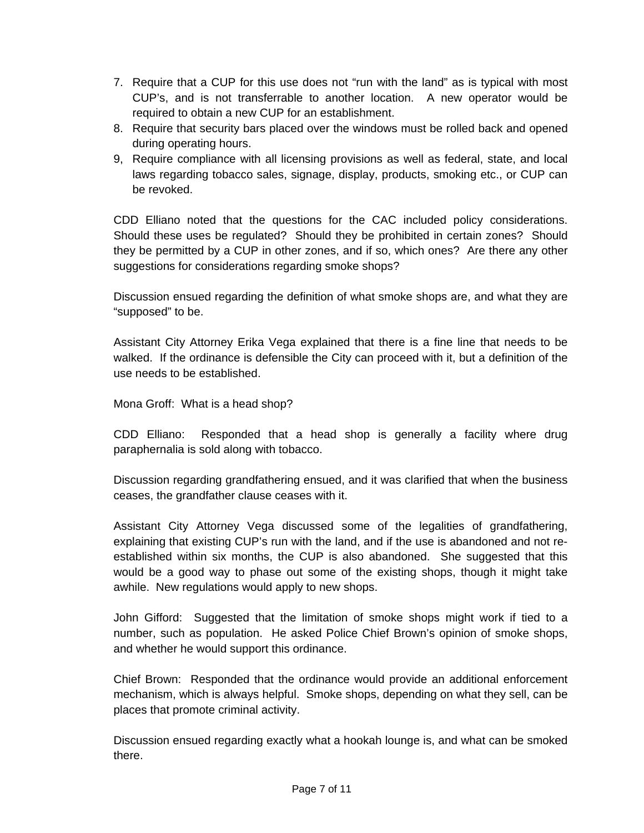- 7. Require that a CUP for this use does not "run with the land" as is typical with most CUP's, and is not transferrable to another location. A new operator would be required to obtain a new CUP for an establishment.
- 8. Require that security bars placed over the windows must be rolled back and opened during operating hours.
- 9, Require compliance with all licensing provisions as well as federal, state, and local laws regarding tobacco sales, signage, display, products, smoking etc., or CUP can be revoked.

CDD Elliano noted that the questions for the CAC included policy considerations. Should these uses be regulated? Should they be prohibited in certain zones? Should they be permitted by a CUP in other zones, and if so, which ones? Are there any other suggestions for considerations regarding smoke shops?

Discussion ensued regarding the definition of what smoke shops are, and what they are "supposed" to be.

Assistant City Attorney Erika Vega explained that there is a fine line that needs to be walked. If the ordinance is defensible the City can proceed with it, but a definition of the use needs to be established.

Mona Groff: What is a head shop?

CDD Elliano: Responded that a head shop is generally a facility where drug paraphernalia is sold along with tobacco.

Discussion regarding grandfathering ensued, and it was clarified that when the business ceases, the grandfather clause ceases with it.

Assistant City Attorney Vega discussed some of the legalities of grandfathering, explaining that existing CUP's run with the land, and if the use is abandoned and not reestablished within six months, the CUP is also abandoned. She suggested that this would be a good way to phase out some of the existing shops, though it might take awhile. New regulations would apply to new shops.

John Gifford: Suggested that the limitation of smoke shops might work if tied to a number, such as population. He asked Police Chief Brown's opinion of smoke shops, and whether he would support this ordinance.

Chief Brown: Responded that the ordinance would provide an additional enforcement mechanism, which is always helpful. Smoke shops, depending on what they sell, can be places that promote criminal activity.

Discussion ensued regarding exactly what a hookah lounge is, and what can be smoked there.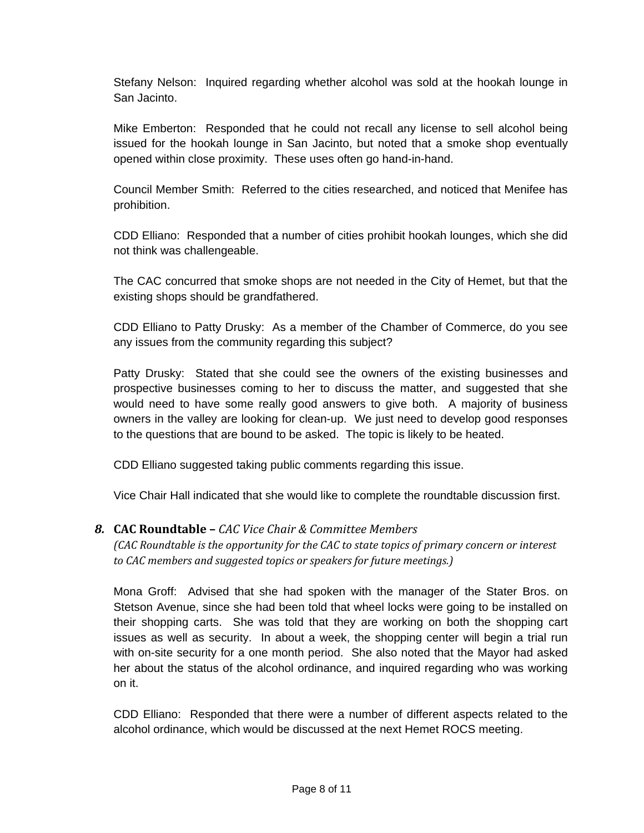Stefany Nelson: Inquired regarding whether alcohol was sold at the hookah lounge in San Jacinto.

Mike Emberton: Responded that he could not recall any license to sell alcohol being issued for the hookah lounge in San Jacinto, but noted that a smoke shop eventually opened within close proximity. These uses often go hand-in-hand.

Council Member Smith: Referred to the cities researched, and noticed that Menifee has prohibition.

CDD Elliano: Responded that a number of cities prohibit hookah lounges, which she did not think was challengeable.

The CAC concurred that smoke shops are not needed in the City of Hemet, but that the existing shops should be grandfathered.

CDD Elliano to Patty Drusky: As a member of the Chamber of Commerce, do you see any issues from the community regarding this subject?

Patty Drusky: Stated that she could see the owners of the existing businesses and prospective businesses coming to her to discuss the matter, and suggested that she would need to have some really good answers to give both. A majority of business owners in the valley are looking for clean-up. We just need to develop good responses to the questions that are bound to be asked. The topic is likely to be heated.

CDD Elliano suggested taking public comments regarding this issue.

Vice Chair Hall indicated that she would like to complete the roundtable discussion first.

#### *8.* **CAC Roundtable –** *CAC Vice Chair & Committee Members*

*(CAC Roundtable is the opportunity for the CAC to state topics of primary concern or interest to CAC members and suggested topics or speakers for future meetings.)*

Mona Groff: Advised that she had spoken with the manager of the Stater Bros. on Stetson Avenue, since she had been told that wheel locks were going to be installed on their shopping carts. She was told that they are working on both the shopping cart issues as well as security. In about a week, the shopping center will begin a trial run with on-site security for a one month period. She also noted that the Mayor had asked her about the status of the alcohol ordinance, and inquired regarding who was working on it.

CDD Elliano: Responded that there were a number of different aspects related to the alcohol ordinance, which would be discussed at the next Hemet ROCS meeting.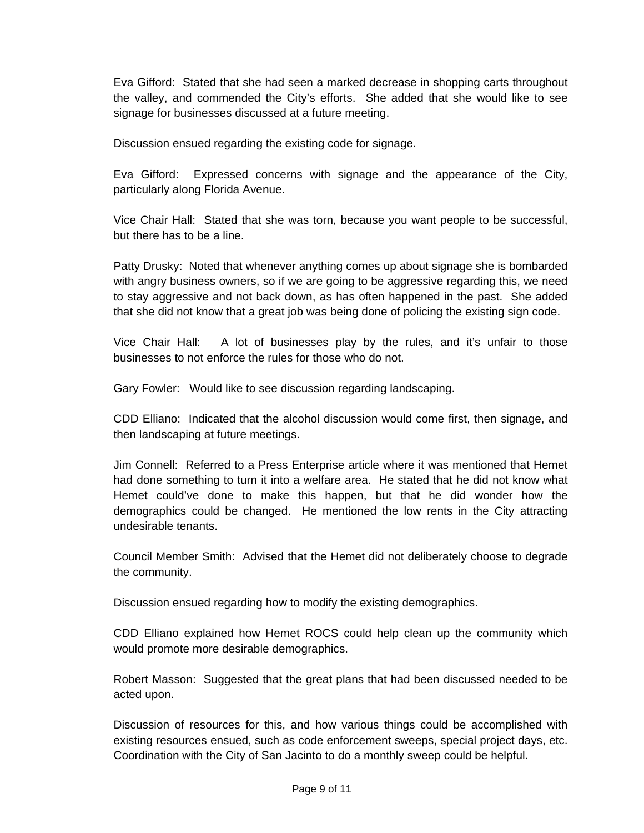Eva Gifford: Stated that she had seen a marked decrease in shopping carts throughout the valley, and commended the City's efforts. She added that she would like to see signage for businesses discussed at a future meeting.

Discussion ensued regarding the existing code for signage.

Eva Gifford: Expressed concerns with signage and the appearance of the City, particularly along Florida Avenue.

Vice Chair Hall: Stated that she was torn, because you want people to be successful, but there has to be a line.

Patty Drusky: Noted that whenever anything comes up about signage she is bombarded with angry business owners, so if we are going to be aggressive regarding this, we need to stay aggressive and not back down, as has often happened in the past. She added that she did not know that a great job was being done of policing the existing sign code.

Vice Chair Hall: A lot of businesses play by the rules, and it's unfair to those businesses to not enforce the rules for those who do not.

Gary Fowler: Would like to see discussion regarding landscaping.

CDD Elliano: Indicated that the alcohol discussion would come first, then signage, and then landscaping at future meetings.

Jim Connell: Referred to a Press Enterprise article where it was mentioned that Hemet had done something to turn it into a welfare area. He stated that he did not know what Hemet could've done to make this happen, but that he did wonder how the demographics could be changed. He mentioned the low rents in the City attracting undesirable tenants.

Council Member Smith: Advised that the Hemet did not deliberately choose to degrade the community.

Discussion ensued regarding how to modify the existing demographics.

CDD Elliano explained how Hemet ROCS could help clean up the community which would promote more desirable demographics.

Robert Masson: Suggested that the great plans that had been discussed needed to be acted upon.

Discussion of resources for this, and how various things could be accomplished with existing resources ensued, such as code enforcement sweeps, special project days, etc. Coordination with the City of San Jacinto to do a monthly sweep could be helpful.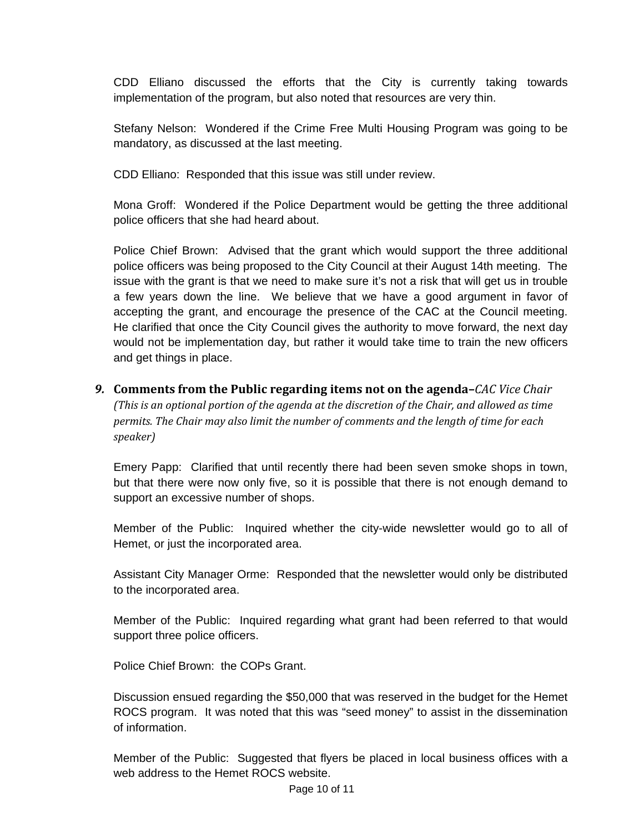CDD Elliano discussed the efforts that the City is currently taking towards implementation of the program, but also noted that resources are very thin.

Stefany Nelson: Wondered if the Crime Free Multi Housing Program was going to be mandatory, as discussed at the last meeting.

CDD Elliano: Responded that this issue was still under review.

Mona Groff: Wondered if the Police Department would be getting the three additional police officers that she had heard about.

Police Chief Brown: Advised that the grant which would support the three additional police officers was being proposed to the City Council at their August 14th meeting. The issue with the grant is that we need to make sure it's not a risk that will get us in trouble a few years down the line. We believe that we have a good argument in favor of accepting the grant, and encourage the presence of the CAC at the Council meeting. He clarified that once the City Council gives the authority to move forward, the next day would not be implementation day, but rather it would take time to train the new officers and get things in place.

*9.* **Comments from the Public regarding items not on the agenda–***CAC Vice Chair (This is an optional portion of the agenda at the discretion of the Chair, and allowed as time permits. The Chair may also limit the number of comments and the length of time for each speaker)*

Emery Papp: Clarified that until recently there had been seven smoke shops in town, but that there were now only five, so it is possible that there is not enough demand to support an excessive number of shops.

Member of the Public: Inquired whether the city-wide newsletter would go to all of Hemet, or just the incorporated area.

Assistant City Manager Orme: Responded that the newsletter would only be distributed to the incorporated area.

Member of the Public: Inquired regarding what grant had been referred to that would support three police officers.

Police Chief Brown: the COPs Grant.

Discussion ensued regarding the \$50,000 that was reserved in the budget for the Hemet ROCS program. It was noted that this was "seed money" to assist in the dissemination of information.

Member of the Public: Suggested that flyers be placed in local business offices with a web address to the Hemet ROCS website.